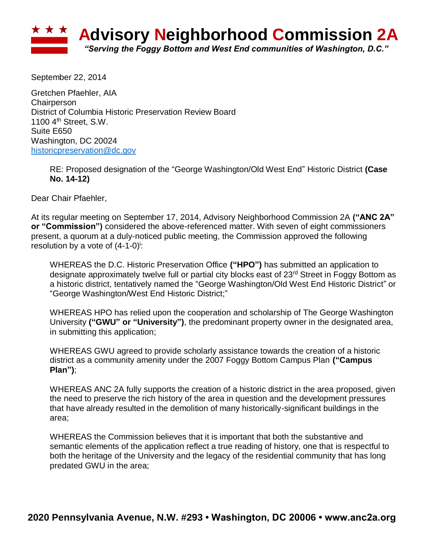

September 22, 2014

Gretchen Pfaehler, AIA **Chairperson** District of Columbia Historic Preservation Review Board 1100 4<sup>th</sup> Street, S.W. Suite E650 Washington, DC 20024 [historicpreservation@dc.gov](mailto:historicpreservation@dc.gov)

RE: Proposed designation of the "George Washington/Old West End" Historic District **(Case No. 14-12)**

Dear Chair Pfaehler,

At its regular meeting on September 17, 2014, Advisory Neighborhood Commission 2A **("ANC 2A" or "Commission")** considered the above-referenced matter. With seven of eight commissioners present, a quorum at a duly-noticed public meeting, the Commission approved the following resolution by a vote of  $(4-1-0)$ <sup>i</sup>:

WHEREAS the D.C. Historic Preservation Office **("HPO")** has submitted an application to designate approximately twelve full or partial city blocks east of 23<sup>rd</sup> Street in Foggy Bottom as a historic district, tentatively named the "George Washington/Old West End Historic District" or "George Washington/West End Historic District;"

WHEREAS HPO has relied upon the cooperation and scholarship of The George Washington University **("GWU" or "University")**, the predominant property owner in the designated area, in submitting this application;

WHEREAS GWU agreed to provide scholarly assistance towards the creation of a historic district as a community amenity under the 2007 Foggy Bottom Campus Plan **("Campus Plan")**;

WHEREAS ANC 2A fully supports the creation of a historic district in the area proposed, given the need to preserve the rich history of the area in question and the development pressures that have already resulted in the demolition of many historically-significant buildings in the area;

WHEREAS the Commission believes that it is important that both the substantive and semantic elements of the application reflect a true reading of history, one that is respectful to both the heritage of the University and the legacy of the residential community that has long predated GWU in the area;